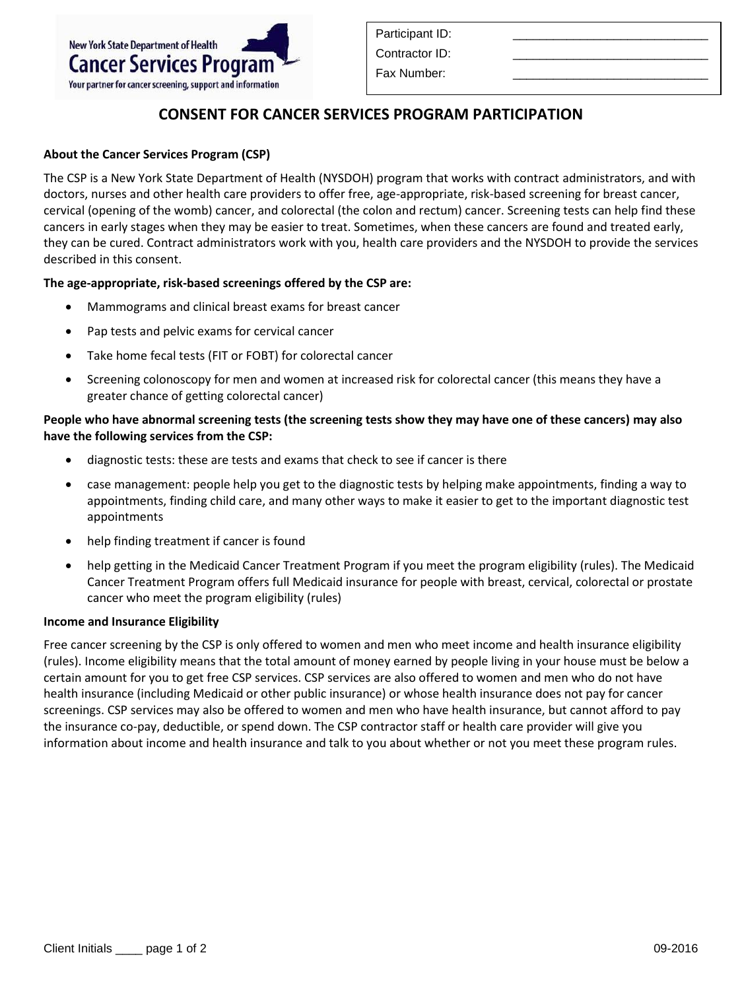# **CONSENT FOR CANCER SERVICES PROGRAM PARTICIPATION**

# **About the Cancer Services Program (CSP)**

The CSP is a New York State Department of Health (NYSDOH) program that works with contract administrators, and with doctors, nurses and other health care providers to offer free, age-appropriate, risk-based screening for breast cancer, cervical (opening of the womb) cancer, and colorectal (the colon and rectum) cancer. Screening tests can help find these cancers in early stages when they may be easier to treat. Sometimes, when these cancers are found and treated early, they can be cured. Contract administrators work with you, health care providers and the NYSDOH to provide the services described in this consent.

### **The age-appropriate, risk-based screenings offered by the CSP are:**

- Mammograms and clinical breast exams for breast cancer
- Pap tests and pelvic exams for cervical cancer
- Take home fecal tests (FIT or FOBT) for colorectal cancer
- Screening colonoscopy for men and women at increased risk for colorectal cancer (this means they have a greater chance of getting colorectal cancer)

# **People who have abnormal screening tests (the screening tests show they may have one of these cancers) may also have the following services from the CSP:**

- diagnostic tests: these are tests and exams that check to see if cancer is there
- case management: people help you get to the diagnostic tests by helping make appointments, finding a way to appointments, finding child care, and many other ways to make it easier to get to the important diagnostic test appointments
- help finding treatment if cancer is found
- help getting in the Medicaid Cancer Treatment Program if you meet the program eligibility (rules). The Medicaid Cancer Treatment Program offers full Medicaid insurance for people with breast, cervical, colorectal or prostate cancer who meet the program eligibility (rules)

### **Income and Insurance Eligibility**

Free cancer screening by the CSP is only offered to women and men who meet income and health insurance eligibility (rules). Income eligibility means that the total amount of money earned by people living in your house must be below a certain amount for you to get free CSP services. CSP services are also offered to women and men who do not have health insurance (including Medicaid or other public insurance) or whose health insurance does not pay for cancer screenings. CSP services may also be offered to women and men who have health insurance, but cannot afford to pay the insurance co-pay, deductible, or spend down. The CSP contractor staff or health care provider will give you information about income and health insurance and talk to you about whether or not you meet these program rules.